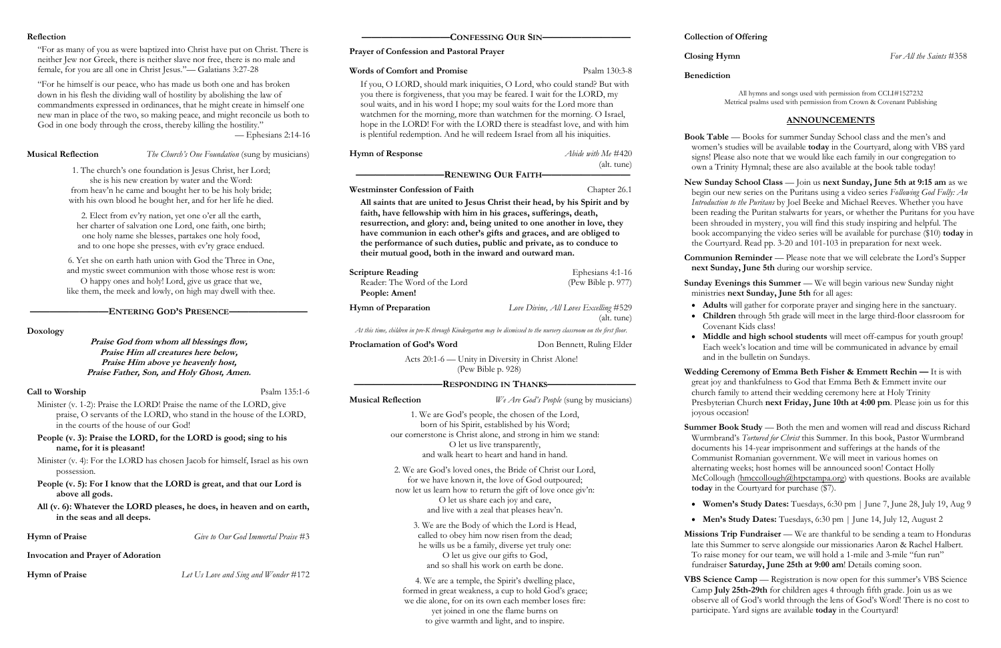### **Reflection**

"For as many of you as were baptized into Christ have put on Christ. There is neither Jew nor Greek, there is neither slave nor free, there is no male and female, for you are all one in Christ Jesus."— Galatians 3:27-28

"For he himself is our peace, who has made us both one and has broken down in his flesh the dividing wall of hostility by abolishing the law of commandments expressed in ordinances, that he might create in himself one new man in place of the two, so making peace, and might reconcile us both to God in one body through the cross, thereby killing the hostility."

— Ephesians 2:14-16

**Musical Reflection** *The Church's One Foundation* (sung by musicians)

**————————ENTERING GOD'S PRESENCE————————**

**Doxology**

**Praise God from whom all blessings flow, Praise Him all creatures here below, Praise Him above ye heavenly host, Praise Father, Son, and Holy Ghost, Amen.**

### **Call to Worship** Psalm 135:1-6

Minister (v. 1-2): Praise the LORD! Praise the name of the LORD, give praise, O servants of the LORD, who stand in the house of the LORD, in the courts of the house of our God!

# **People (v. 3): Praise the LORD, for the LORD is good; sing to his name, for it is pleasant!**

Minister (v. 4): For the LORD has chosen Jacob for himself, Israel as his own possession.

**People (v. 5): For I know that the LORD is great, and that our Lord is above all gods.**

**Scripture Reading** Ephesians 4:1-16 Reader: The Word of the Lord (Pew Bible p. 977) **People: Amen!**

**All (v. 6): Whatever the LORD pleases, he does, in heaven and on earth, in the seas and all deeps.** 

**Hymn of Praise** *Give to Our God Immortal Praise* #3

**Invocation and Prayer of Adoration**

**Hymn of Praise** *Let Us Love and Sing and Wonder* #172

# **—————————CONFESSING OUR SIN—————————**

# **Prayer of Confession and Pastoral Prayer**

# **Words of Comfort and Promise** Psalm 130:3-8

If you, O LORD, should mark iniquities, O Lord, who could stand? But with you there is forgiveness, that you may be feared. I wait for the LORD, my soul waits, and in his word I hope; my soul waits for the Lord more than watchmen for the morning, more than watchmen for the morning. O Israel, hope in the LORD! For with the LORD there is steadfast love, and with him is plentiful redemption. And he will redeem Israel from all his iniquities.

# **Hymn of Response** *Abide with Me* #420 (alt. tune)

**Communion Reminder** — Please note that we will celebrate the Lord's Supper **next Sunday, June 5th** during our worship service.

**—————————RENEWING OUR FAITH—————————**

Westminster Confession of Faith Chapter 26.1

**Sunday Evenings this Summer** — We will begin various new Sunday night ministries **next Sunday, June 5th** for all ages:

**All saints that are united to Jesus Christ their head, by his Spirit and by faith, have fellowship with him in his graces, sufferings, death, resurrection, and glory: and, being united to one another in love, they have communion in each other's gifts and graces, and are obliged to the performance of such duties, public and private, as to conduce to their mutual good, both in the inward and outward man.**

> **Wedding Ceremony of Emma Beth Fisher & Emmett Rechin — It is with** great joy and thankfulness to God that Emma Beth & Emmett invite our church family to attend their wedding ceremony here at Holy Trinity Presbyterian Church **next Friday, June 10th at 4:00 pm**. Please join us for this joyous occasion!

Summer Book Study - Both the men and women will read and discuss Richard Wurmbrand's *Tortured for Christ* this Summer. In this book, Pastor Wurmbrand documents his 14-year imprisonment and sufferings at the hands of the Communist Romanian government. We will meet in various homes on alternating weeks; host homes will be announced soon! Contact Holly McCollough ([hmccollough@htpctampa.org\)](mailto:hmccollough@htpctampa.org) with questions. Books are available **today** in the Courtyard for purchase (\$7).

- 
- 

**Hymn of Preparation** *Love Divine, All Loves Excelling* #529

(alt. tune)

*At this time, children in pre-K through Kindergarten may be dismissed to the nursery classroom on the first floor.*

**Proclamation of God's Word** Don Bennett, Ruling Elder

**Missions Trip Fundraiser** — We are thankful to be sending a team to Honduras late this Summer to serve alongside our missionaries Aaron & Rachel Halbert. To raise money for our team, we will hold a 1-mile and 3-mile "fun run" fundraiser **Saturday, June 25th at 9:00 am**! Details coming soon.

Acts 20:1-6 — Unity in Diversity in Christ Alone! (Pew Bible p. 928)

# **—————————RESPONDING IN THANKS—————————**

**Musical Reflection** *We Are God's People* (sung by musicians)

VBS Science Camp - Registration is now open for this summer's VBS Science Camp **July 25th-29th** for children ages 4 through fifth grade. Join us as we observe all of God's world through the lens of God's Word! There is no cost to participate. Yard signs are available **today** in the Courtyard!

**Collection of Offering**

**Benediction**

All hymns and songs used with permission from CCLI#1527232 Metrical psalms used with permission from Crown & Covenant Publishing

- 
- 

# **ANNOUNCEMENTS**

**Book Table** — Books for summer Sunday School class and the men's and women's studies will be available **today** in the Courtyard, along with VBS yard signs! Please also note that we would like each family in our congregation to own a Trinity Hymnal; these are also available at the book table today!

**New Sunday School Class** — Join us **next Sunday, June 5th at 9:15 am** as we begin our new series on the Puritans using a video series *Following God Fully: An Introduction to the Puritans* by Joel Beeke and Michael Reeves. Whether you have been reading the Puritan stalwarts for years, or whether the Puritans for you have been shrouded in mystery, you will find this study inspiring and helpful. The book accompanying the video series will be available for purchase (\$10) **today** in the Courtyard. Read pp. 3-20 and 101-103 in preparation for next week.

• **Adults** will gather for corporate prayer and singing here in the sanctuary. • **Children** through 5th grade will meet in the large third-floor classroom for Covenant Kids class!

• **Middle and high school students** will meet off-campus for youth group! Each week's location and time will be communicated in advance by email and in the bulletin on Sundays.

• **Women's Study Dates:** Tuesdays, 6:30 pm | June 7, June 28, July 19, Aug 9

• **Men's Study Dates:** Tuesdays, 6:30 pm | June 14, July 12, August 2

1. The church's one foundation is Jesus Christ, her Lord; she is his new creation by water and the Word: from heav'n he came and bought her to be his holy bride; with his own blood he bought her, and for her life he died.

2. Elect from ev'ry nation, yet one o'er all the earth, her charter of salvation one Lord, one faith, one birth; one holy name she blesses, partakes one holy food, and to one hope she presses, with ev'ry grace endued.

6. Yet she on earth hath union with God the Three in One, and mystic sweet communion with those whose rest is won: O happy ones and holy! Lord, give us grace that we, like them, the meek and lowly, on high may dwell with thee.

> 1. We are God's people, the chosen of the Lord, born of his Spirit, established by his Word; our cornerstone is Christ alone, and strong in him we stand: O let us live transparently, and walk heart to heart and hand in hand.

2. We are God's loved ones, the Bride of Christ our Lord, for we have known it, the love of God outpoured; now let us learn how to return the gift of love once giv'n: O let us share each joy and care, and live with a zeal that pleases heav'n.

3. We are the Body of which the Lord is Head, called to obey him now risen from the dead; he wills us be a family, diverse yet truly one: O let us give our gifts to God, and so shall his work on earth be done.

4. We are a temple, the Spirit's dwelling place, formed in great weakness, a cup to hold God's grace; we die alone, for on its own each member loses fire: yet joined in one the flame burns on to give warmth and light, and to inspire.